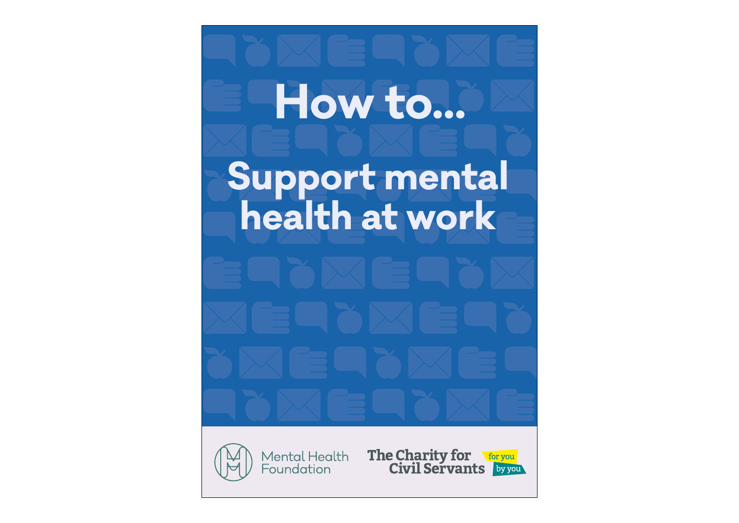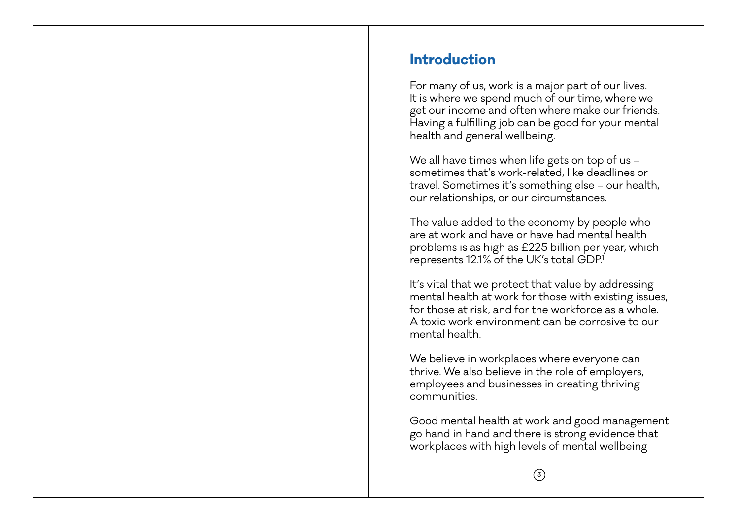# **Introduction**

For many of us, work is a major part of our lives. It is where we spend much of our time, where we get our income and often where make our friends. Having a fulfilling job can be good for your mental health and general wellbeing.

We all have times when life gets on top of us – sometimes that's work-related, like deadlines or travel. Sometimes it's something else – our health, our relationships, or our circumstances.

The value added to the economy by people who are at work and have or have had mental health problems is as high as £225 billion per year, which represents 12.1% of the UK's total GDP.1

It's vital that we protect that value by addressing mental health at work for those with existing issues, for those at risk, and for the workforce as a whole. A toxic work environment can be corrosive to our mental health.

We believe in workplaces where everyone can thrive. We also believe in the role of employers, employees and businesses in creating thriving communities.

Good mental health at work and good management go hand in hand and there is strong evidence that workplaces with high levels of mental wellbeing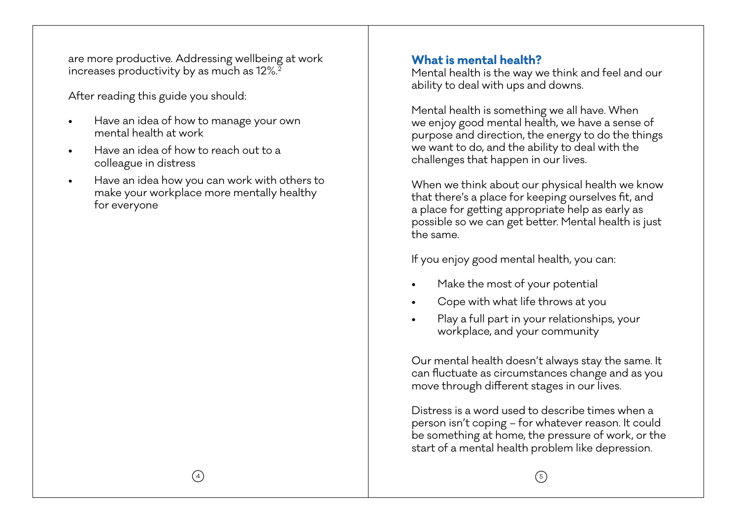are more productive. Addressing wellbeing at work increases productivity by as much as 12%.<sup>2</sup>

After reading this guide you should:

- Have an idea of how to manage your own mental health at work
- Have an idea of how to reach out to a colleague in distress
- Have an idea how you can work with others to make your workplace more mentally healthy for everyone

### **What is mental health?**

Mental health is the way we think and feel and our ability to deal with ups and downs.

Mental health is something we all have. When we enjoy good mental health, we have a sense of purpose and direction, the energy to do the things we want to do, and the ability to deal with the challenges that happen in our lives.

When we think about our physical health we know that there's a place for keeping ourselves fit, and a place for getting appropriate help as early as possible so we can get better. Mental health is just the same.

If you enjoy good mental health, you can:

- Make the most of your potential
- Cope with what life throws at you
- Play a full part in your relationships, your workplace, and your community

Our mental health doesn't always stay the same. It can fluctuate as circumstances change and as you move through different stages in our lives.

Distress is a word used to describe times when a person isn't coping – for whatever reason. It could be something at home, the pressure of work, or the start of a mental health problem like depression.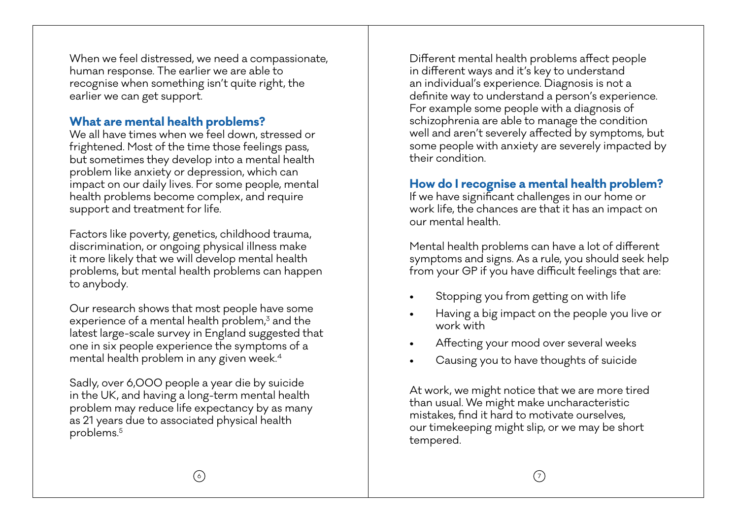When we feel distressed, we need a compassionate, human response. The earlier we are able to recognise when something isn't quite right, the earlier we can get support.

# **What are mental health problems?**

We all have times when we feel down, stressed or frightened. Most of the time those feelings pass, but sometimes they develop into a mental health problem like anxiety or depression, which can impact on our daily lives. For some people, mental health problems become complex, and require support and treatment for life.

Factors like poverty, genetics, childhood trauma, discrimination, or ongoing physical illness make it more likely that we will develop mental health problems, but mental health problems can happen to anybody.

Our research shows that most people have some experience of a mental health problem,<sup>3</sup> and the latest large-scale survey in England suggested that one in six people experience the symptoms of a mental health problem in any given week.4

Sadly, over 6,000 people a year die by suicide in the UK, and having a long-term mental health problem may reduce life expectancy by as many as 21 years due to associated physical health problems.5

Different mental health problems affect people in different ways and it's key to understand an individual's experience. Diagnosis is not a definite way to understand a person's experience. For example some people with a diagnosis of schizophrenia are able to manage the condition well and aren't severely affected by symptoms, but some people with anxiety are severely impacted by their condition.

# **How do I recognise a mental health problem?**

If we have significant challenges in our home or work life, the chances are that it has an impact on our mental health.

Mental health problems can have a lot of different symptoms and signs. As a rule, you should seek help from your GP if you have difficult feelings that are:

- Stopping you from getting on with life
- Having a big impact on the people you live or work with
- Affecting your mood over several weeks
- Causing you to have thoughts of suicide

At work, we might notice that we are more tired than usual. We might make uncharacteristic mistakes, find it hard to motivate ourselves, our timekeeping might slip, or we may be short tempered.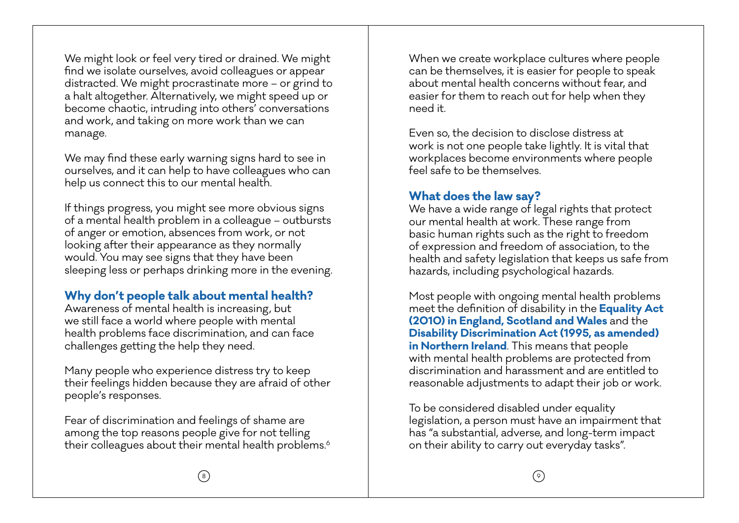We might look or feel very tired or drained. We might find we isolate ourselves, avoid colleagues or appear distracted. We might procrastinate more – or grind to a halt altogether. Alternatively, we might speed up or become chaotic, intruding into others' conversations and work, and taking on more work than we can manage.

We may find these early warning signs hard to see in ourselves, and it can help to have colleagues who can help us connect this to our mental health.

If things progress, you might see more obvious signs of a mental health problem in a colleague – outbursts of anger or emotion, absences from work, or not looking after their appearance as they normally would. You may see signs that they have been sleeping less or perhaps drinking more in the evening.

# **Why don't people talk about mental health?**

Awareness of mental health is increasing, but we still face a world where people with mental health problems face discrimination, and can face challenges getting the help they need.

Many people who experience distress try to keep their feelings hidden because they are afraid of other people's responses.

Fear of discrimination and feelings of shame are among the top reasons people give for not telling their colleagues about their mental health problems.<sup>6</sup> When we create workplace cultures where people can be themselves, it is easier for people to speak about mental health concerns without fear, and easier for them to reach out for help when they need it.

Even so, the decision to disclose distress at work is not one people take lightly. It is vital that workplaces become environments where people feel safe to be themselves.

### **What does the law say?**

We have a wide range of legal rights that protect our mental health at work. These range from basic human rights such as the right to freedom of expression and freedom of association, to the health and safety legislation that keeps us safe from hazards, including psychological hazards.

Most people with ongoing mental health problems meet the definition of disability in the **Equality Act (2010) in England, Scotland and Wales** and the **Disability Discrimination Act (1995, as amended) in Northern Ireland**. This means that people with mental health problems are protected from discrimination and harassment and are entitled to reasonable adjustments to adapt their job or work.

To be considered disabled under equality legislation, a person must have an impairment that has "a substantial, adverse, and long-term impact on their ability to carry out everyday tasks".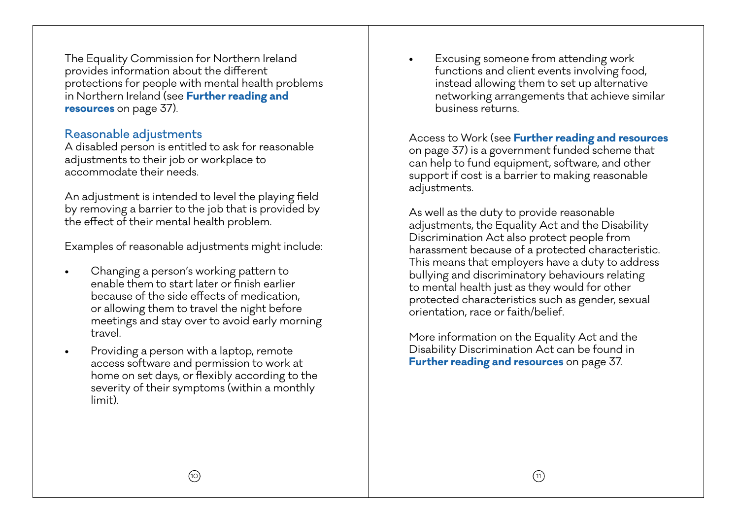The Equality Commission for Northern Ireland provides information about the different protections for people with mental health problems in Northern Ireland (see **Further reading and resources** on page 37).

#### Reasonable adjustments

A disabled person is entitled to ask for reasonable adjustments to their job or workplace to accommodate their needs.

An adjustment is intended to level the playing field by removing a barrier to the job that is provided by the effect of their mental health problem.

Examples of reasonable adjustments might include:

- Changing a person's working pattern to enable them to start later or finish earlier because of the side effects of medication, or allowing them to travel the night before meetings and stay over to avoid early morning travel.
- Providing a person with a laptop, remote access software and permission to work at home on set days, or flexibly according to the severity of their symptoms (within a monthly limit).

• Excusing someone from attending work functions and client events involving food, instead allowing them to set up alternative networking arrangements that achieve similar business returns.

Access to Work (see **Further reading and resources** on page 37) is a government funded scheme that can help to fund equipment, software, and other support if cost is a barrier to making reasonable adjustments.

As well as the duty to provide reasonable adjustments, the Equality Act and the Disability Discrimination Act also protect people from harassment because of a protected characteristic. This means that employers have a duty to address bullying and discriminatory behaviours relating to mental health just as they would for other protected characteristics such as gender, sexual orientation, race or faith/belief.

More information on the Equality Act and the Disability Discrimination Act can be found in **Further reading and resources** on page 37.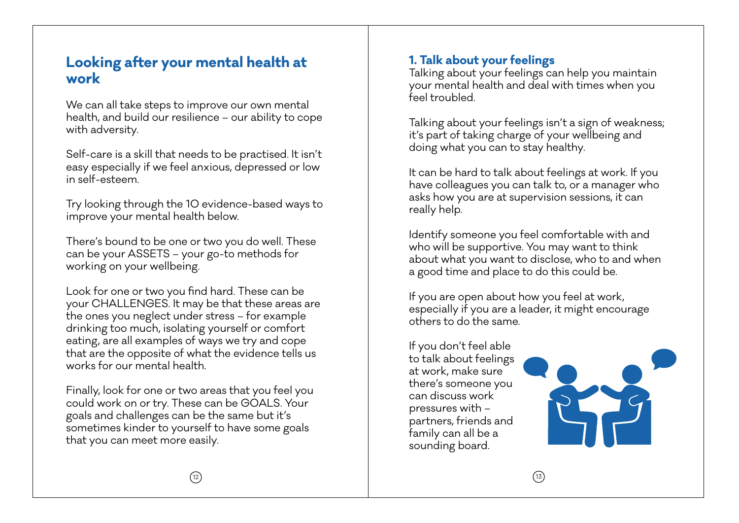# **Looking after your mental health at work**

We can all take steps to improve our own mental health, and build our resilience – our ability to cope with adversity.

Self-care is a skill that needs to be practised. It isn't easy especially if we feel anxious, depressed or low in self-esteem.

Try looking through the 10 evidence-based ways to improve your mental health below.

There's bound to be one or two you do well. These can be your ASSETS – your go-to methods for working on your wellbeing.

Look for one or two you find hard. These can be your CHALLENGES. It may be that these areas are the ones you neglect under stress – for example drinking too much, isolating yourself or comfort eating, are all examples of ways we try and cope that are the opposite of what the evidence tells us works for our mental health.

Finally, look for one or two areas that you feel you could work on or try. These can be GOALS. Your goals and challenges can be the same but it's sometimes kinder to yourself to have some goals that you can meet more easily.

# **1. Talk about your feelings**

Talking about your feelings can help you maintain your mental health and deal with times when you feel troubled.

Talking about your feelings isn't a sign of weakness; it's part of taking charge of your wellbeing and doing what you can to stay healthy.

It can be hard to talk about feelings at work. If you have colleagues you can talk to, or a manager who asks how you are at supervision sessions, it can really help.

Identify someone you feel comfortable with and who will be supportive. You may want to think about what you want to disclose, who to and when a good time and place to do this could be.

If you are open about how you feel at work, especially if you are a leader, it might encourage others to do the same.

If you don't feel able to talk about feelings at work, make sure there's someone you can discuss work pressures with – partners, friends and family can all be a sounding board.

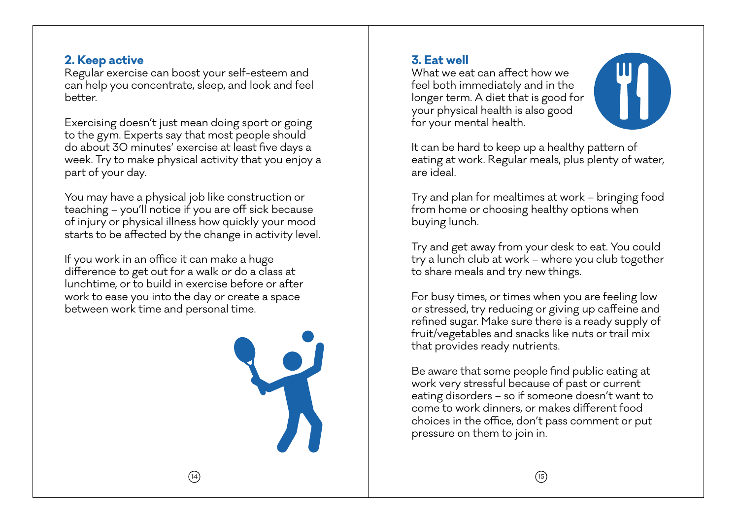### **2. Keep active**

Regular exercise can boost your self-esteem and can help you concentrate, sleep, and look and feel better.

Exercising doesn't just mean doing sport or going to the gym. Experts say that most people should do about 30 minutes' exercise at least five days a week. Try to make physical activity that you enjoy a part of your day.

You may have a physical job like construction or teaching – you'll notice if you are off sick because of injury or physical illness how quickly your mood starts to be affected by the change in activity level.

If you work in an office it can make a huge difference to get out for a walk or do a class at lunchtime, or to build in exercise before or after work to ease you into the day or create a space between work time and personal time.



# **3. Eat well**

What we eat can affect how we feel both immediately and in the longer term. A diet that is good for your physical health is also good for your mental health.



It can be hard to keep up a healthy pattern of eating at work. Regular meals, plus plenty of water, are ideal.

Try and plan for mealtimes at work – bringing food from home or choosing healthy options when buying lunch.

Try and get away from your desk to eat. You could try a lunch club at work – where you club together to share meals and try new things.

For busy times, or times when you are feeling low or stressed, try reducing or giving up caffeine and refined sugar. Make sure there is a ready supply of fruit/vegetables and snacks like nuts or trail mix that provides ready nutrients.

Be aware that some people find public eating at work very stressful because of past or current eating disorders – so if someone doesn't want to come to work dinners, or makes different food choices in the office, don't pass comment or put pressure on them to join in.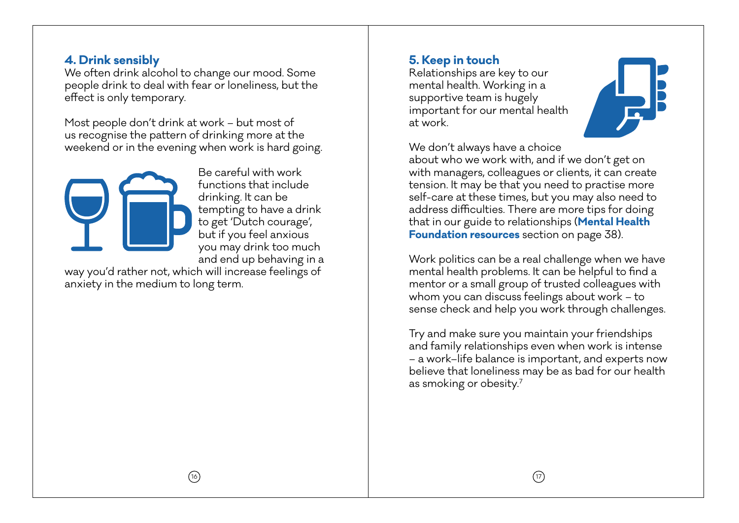### **4. Drink sensibly**

We often drink alcohol to change our mood. Some people drink to deal with fear or loneliness, but the effect is only temporary.

Most people don't drink at work – but most of us recognise the pattern of drinking more at the weekend or in the evening when work is hard going.



Be careful with work functions that include drinking. It can be tempting to have a drink to get 'Dutch courage', but if you feel anxious you may drink too much and end up behaving in a

way you'd rather not, which will increase feelings of anxiety in the medium to long term.

# **5. Keep in touch**

Relationships are key to our mental health. Working in a supportive team is hugely important for our mental health at work.



We don't always have a choice

about who we work with, and if we don't get on with managers, colleagues or clients, it can create tension. It may be that you need to practise more self-care at these times, but you may also need to address difficulties. There are more tips for doing that in our guide to relationships (**Mental Health Foundation resources** section on page 38).

Work politics can be a real challenge when we have mental health problems. It can be helpful to find a mentor or a small group of trusted colleagues with whom you can discuss feelings about work – to sense check and help you work through challenges.

Try and make sure you maintain your friendships and family relationships even when work is intense – a work–life balance is important, and experts now believe that loneliness may be as bad for our health as smoking or obesity.7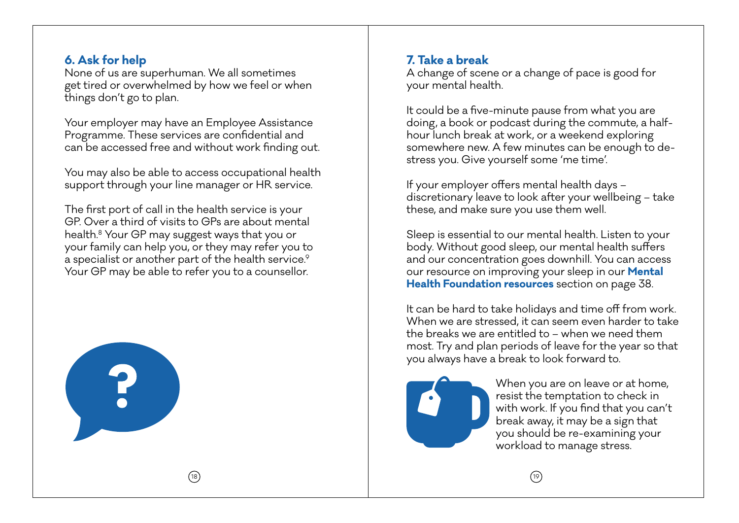### **6. Ask for help**

None of us are superhuman. We all sometimes get tired or overwhelmed by how we feel or when things don't go to plan.

Your employer may have an Employee Assistance Programme. These services are confidential and can be accessed free and without work finding out.

You may also be able to access occupational health support through your line manager or HR service.

The first port of call in the health service is your GP. Over a third of visits to GPs are about mental health.8 Your GP may suggest ways that you or your family can help you, or they may refer you to a specialist or another part of the health service.<sup>9</sup> Your GP may be able to refer you to a counsellor.

18



# **7. Take a break**

A change of scene or a change of pace is good for your mental health.

It could be a five-minute pause from what you are doing, a book or podcast during the commute, a halfhour lunch break at work, or a weekend exploring somewhere new. A few minutes can be enough to destress you. Give yourself some 'me time'.

If your employer offers mental health days – discretionary leave to look after your wellbeing – take these, and make sure you use them well.

Sleep is essential to our mental health. Listen to your body. Without good sleep, our mental health suffers and our concentration goes downhill. You can access our resource on improving your sleep in our **Mental Health Foundation resources** section on page 38.

It can be hard to take holidays and time off from work. When we are stressed, it can seem even harder to take the breaks we are entitled to – when we need them most. Try and plan periods of leave for the year so that you always have a break to look forward to.



When you are on leave or at home, resist the temptation to check in with work. If you find that you can't break away, it may be a sign that you should be re-examining your workload to manage stress.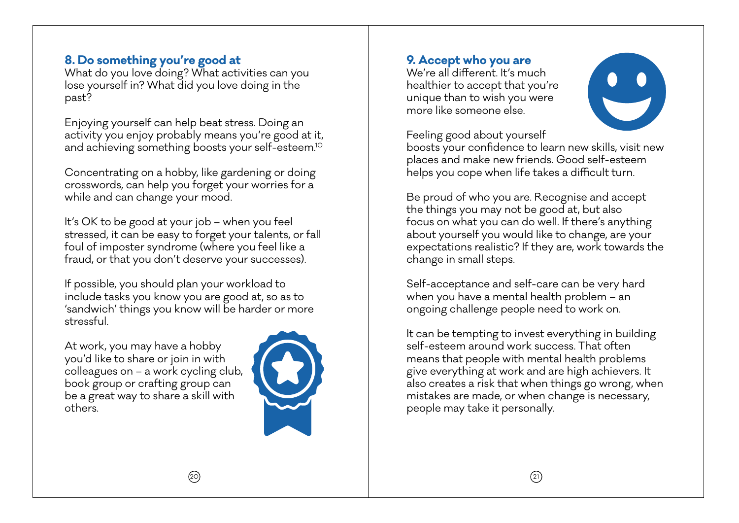## **8. Do something you're good at**

What do you love doing? What activities can you lose yourself in? What did you love doing in the past?

Enjoying yourself can help beat stress. Doing an activity you enjoy probably means you're good at it, and achieving something boosts your self-esteem.10

Concentrating on a hobby, like gardening or doing crosswords, can help you forget your worries for a while and can change your mood.

It's OK to be good at your job – when you feel stressed, it can be easy to forget your talents, or fall foul of imposter syndrome (where you feel like a fraud, or that you don't deserve your successes).

If possible, you should plan your workload to include tasks you know you are good at, so as to 'sandwich' things you know will be harder or more stressful.

At work, you may have a hobby you'd like to share or join in with colleagues on – a work cycling club, book group or crafting group can be a great way to share a skill with others.



### **9. Accept who you are**

We're all different. It's much healthier to accept that you're unique than to wish you were more like someone else.



Feeling good about yourself

boosts your confidence to learn new skills, visit new places and make new friends. Good self-esteem helps you cope when life takes a difficult turn.

Be proud of who you are. Recognise and accept the things you may not be good at, but also focus on what you can do well. If there's anything about yourself you would like to change, are your expectations realistic? If they are, work towards the change in small steps.

Self-acceptance and self-care can be very hard when you have a mental health problem – an ongoing challenge people need to work on.

It can be tempting to invest everything in building self-esteem around work success. That often means that people with mental health problems give everything at work and are high achievers. It also creates a risk that when things go wrong, when mistakes are made, or when change is necessary, people may take it personally.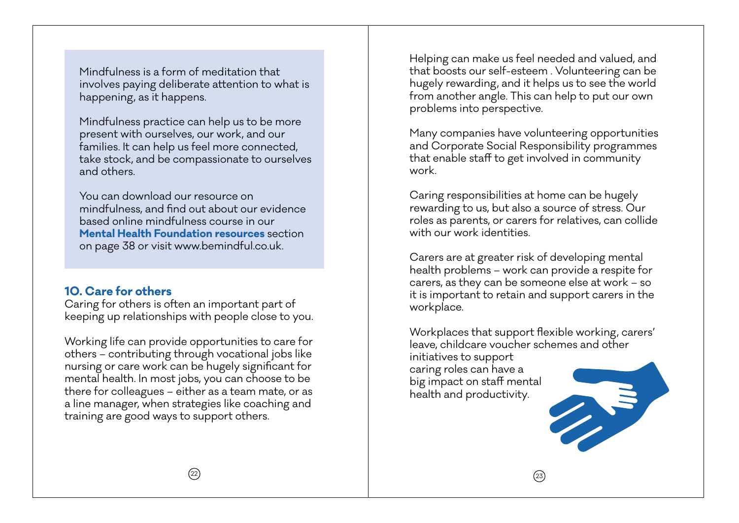Mindfulness is a form of meditation that involves paying deliberate attention to what is happening, as it happens.

Mindfulness practice can help us to be more present with ourselves, our work, and our families. It can help us feel more connected, take stock, and be compassionate to ourselves and others.

You can download our resource on mindfulness, and find out about our evidence based online mindfulness course in our **Mental Health Foundation resources** section on page 38 or visit www.bemindful.co.uk.

# **10. Care for others**

Caring for others is often an important part of keeping up relationships with people close to you.

Working life can provide opportunities to care for others – contributing through vocational jobs like nursing or care work can be hugely significant for mental health. In most jobs, you can choose to be there for colleagues – either as a team mate, or as a line manager, when strategies like coaching and training are good ways to support others.

Helping can make us feel needed and valued, and that boosts our self-esteem . Volunteering can be hugely rewarding, and it helps us to see the world from another angle. This can help to put our own problems into perspective.

Many companies have volunteering opportunities and Corporate Social Responsibility programmes that enable staff to get involved in community work.

Caring responsibilities at home can be hugely rewarding to us, but also a source of stress. Our roles as parents, or carers for relatives, can collide with our work identities.

Carers are at greater risk of developing mental health problems – work can provide a respite for carers, as they can be someone else at work – so it is important to retain and support carers in the workplace.

Workplaces that support flexible working, carers' leave, childcare voucher schemes and other initiatives to support caring roles can have a big impact on staff mental health and productivity.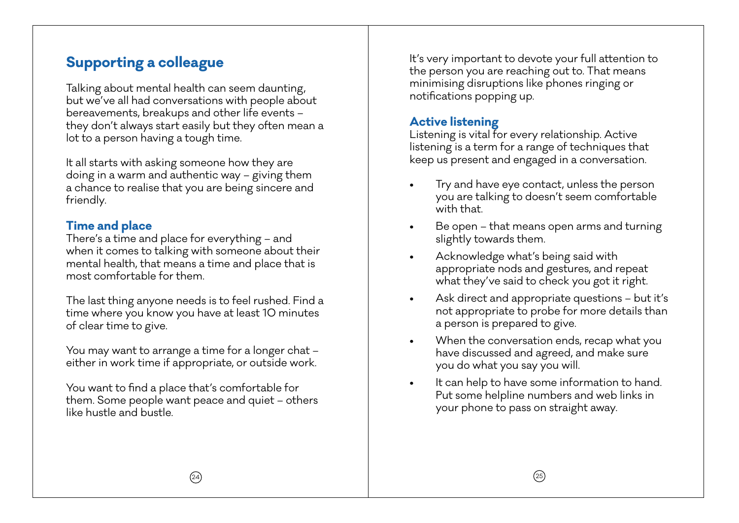# **Supporting a colleague**

Talking about mental health can seem daunting, but we've all had conversations with people about bereavements, breakups and other life events – they don't always start easily but they often mean a lot to a person having a tough time.

It all starts with asking someone how they are doing in a warm and authentic way – giving them a chance to realise that you are being sincere and friendly.

# **Time and place**

There's a time and place for everything – and when it comes to talking with someone about their mental health, that means a time and place that is most comfortable for them.

The last thing anyone needs is to feel rushed. Find a time where you know you have at least 10 minutes of clear time to give.

You may want to arrange a time for a longer chat – either in work time if appropriate, or outside work.

You want to find a place that's comfortable for them. Some people want peace and quiet – others like hustle and bustle.

It's very important to devote your full attention to the person you are reaching out to. That means minimising disruptions like phones ringing or notifications popping up.

# **Active listening**

Listening is vital for every relationship. Active listening is a term for a range of techniques that keep us present and engaged in a conversation.

- Try and have eye contact, unless the person you are talking to doesn't seem comfortable with that.
- Be open that means open arms and turning slightly towards them.
- Acknowledge what's being said with appropriate nods and gestures, and repeat what they've said to check you got it right.
- Ask direct and appropriate questions but it's not appropriate to probe for more details than a person is prepared to give.
- When the conversation ends, recap what you have discussed and agreed, and make sure you do what you say you will.
- It can help to have some information to hand. Put some helpline numbers and web links in your phone to pass on straight away.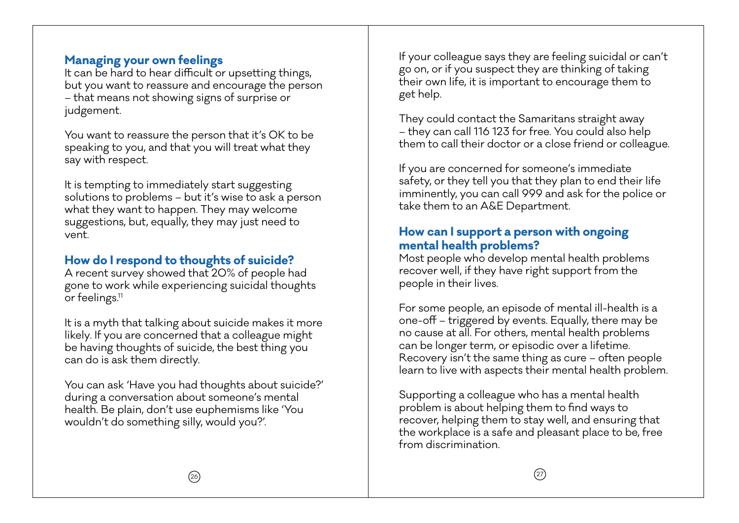### **Managing your own feelings**

It can be hard to hear difficult or upsetting things, but you want to reassure and encourage the person – that means not showing signs of surprise or judgement.

You want to reassure the person that it's OK to be speaking to you, and that you will treat what they say with respect.

It is tempting to immediately start suggesting solutions to problems – but it's wise to ask a person what they want to happen. They may welcome suggestions, but, equally, they may just need to vent.

# **How do I respond to thoughts of suicide?**

A recent survey showed that 20% of people had gone to work while experiencing suicidal thoughts or feelings.<sup>11</sup>

It is a myth that talking about suicide makes it more likely. If you are concerned that a colleague might be having thoughts of suicide, the best thing you can do is ask them directly.

You can ask 'Have you had thoughts about suicide?' during a conversation about someone's mental health. Be plain, don't use euphemisms like 'You wouldn't do something silly, would you?'.

If your colleague says they are feeling suicidal or can't go on, or if you suspect they are thinking of taking their own life, it is important to encourage them to get help.

They could contact the Samaritans straight away – they can call 116 123 for free. You could also help them to call their doctor or a close friend or colleague.

If you are concerned for someone's immediate safety, or they tell you that they plan to end their life imminently, you can call 999 and ask for the police or take them to an A&E Department.

### **How can I support a person with ongoing mental health problems?**

Most people who develop mental health problems recover well, if they have right support from the people in their lives.

For some people, an episode of mental ill-health is a one-off – triggered by events. Equally, there may be no cause at all. For others, mental health problems can be longer term, or episodic over a lifetime. Recovery isn't the same thing as cure – often people learn to live with aspects their mental health problem.

Supporting a colleague who has a mental health problem is about helping them to find ways to recover, helping them to stay well, and ensuring that the workplace is a safe and pleasant place to be, free from discrimination.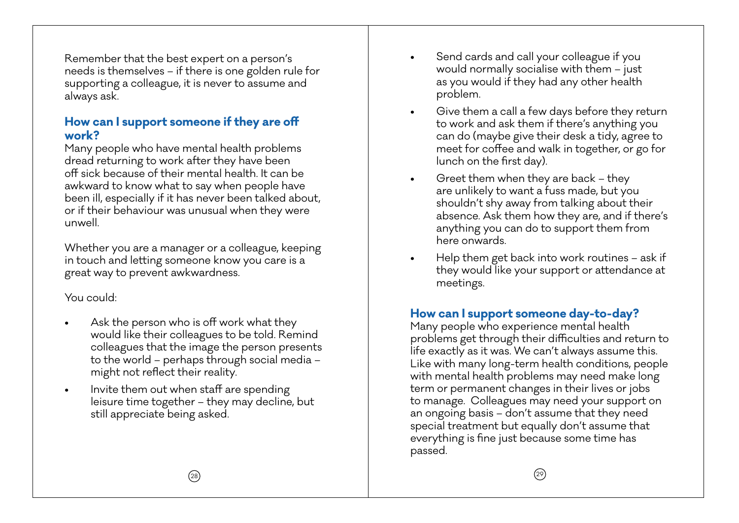Remember that the best expert on a person's needs is themselves – if there is one golden rule for supporting a colleague, it is never to assume and always ask.

### **How can I support someone if they are off work?**

Many people who have mental health problems dread returning to work after they have been off sick because of their mental health. It can be awkward to know what to say when people have been ill, especially if it has never been talked about, or if their behaviour was unusual when they were unwell.

Whether you are a manager or a colleague, keeping in touch and letting someone know you care is a great way to prevent awkwardness.

### You could:

- Ask the person who is off work what they would like their colleagues to be told. Remind colleagues that the image the person presents to the world – perhaps through social media – might not reflect their reality.
- Invite them out when staff are spending leisure time together – they may decline, but still appreciate being asked.
- Send cards and call your colleague if you would normally socialise with them – just as you would if they had any other health problem.
- Give them a call a few days before they return to work and ask them if there's anything you can do (maybe give their desk a tidy, agree to meet for coffee and walk in together, or go for lunch on the first day).
- Greet them when they are back they are unlikely to want a fuss made, but you shouldn't shy away from talking about their absence. Ask them how they are, and if there's anything you can do to support them from here onwards.
- Help them get back into work routines ask if they would like your support or attendance at meetings.

# **How can I support someone day-to-day?**

Many people who experience mental health problems get through their difficulties and return to life exactly as it was. We can't always assume this. Like with many long-term health conditions, people with mental health problems may need make long term or permanent changes in their lives or jobs to manage. Colleagues may need your support on an ongoing basis – don't assume that they need special treatment but equally don't assume that everything is fine just because some time has passed.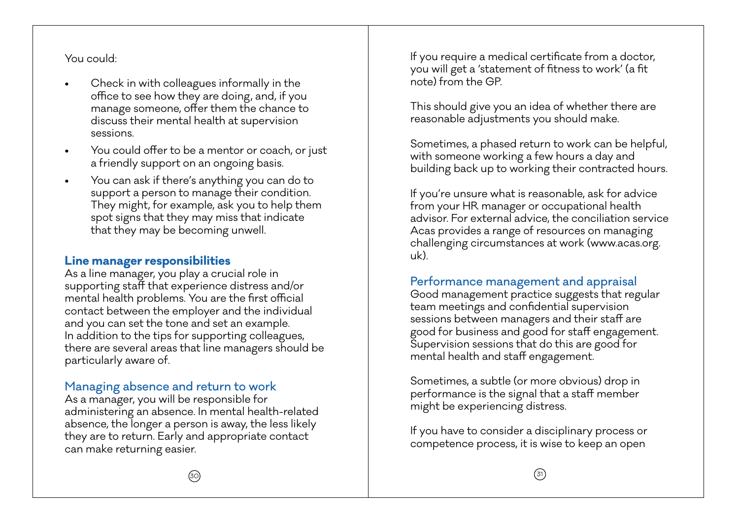You could:

- Check in with colleagues informally in the office to see how they are doing, and, if you manage someone, offer them the chance to discuss their mental health at supervision sessions.
- You could offer to be a mentor or coach, or just a friendly support on an ongoing basis.
- You can ask if there's anything you can do to support a person to manage their condition. They might, for example, ask you to help them spot signs that they may miss that indicate that they may be becoming unwell.

### **Line manager responsibilities**

As a line manager, you play a crucial role in supporting staff that experience distress and/or mental health problems. You are the first official contact between the employer and the individual and you can set the tone and set an example. In addition to the tips for supporting colleagues, there are several areas that line managers should be particularly aware of.

# Managing absence and return to work

As a manager, you will be responsible for administering an absence. In mental health-related absence, the longer a person is away, the less likely they are to return. Early and appropriate contact can make returning easier.

If you require a medical certificate from a doctor, you will get a 'statement of fitness to work' (a fit note) from the GP.

This should give you an idea of whether there are reasonable adjustments you should make.

Sometimes, a phased return to work can be helpful, with someone working a few hours a day and building back up to working their contracted hours.

If you're unsure what is reasonable, ask for advice from your HR manager or occupational health advisor. For external advice, the conciliation service Acas provides a range of resources on managing challenging circumstances at work (www.acas.org. uk).

# Performance management and appraisal

Good management practice suggests that regular team meetings and confidential supervision sessions between managers and their staff are good for business and good for staff engagement. Supervision sessions that do this are good for mental health and staff engagement.

Sometimes, a subtle (or more obvious) drop in performance is the signal that a staff member might be experiencing distress.

If you have to consider a disciplinary process or competence process, it is wise to keep an open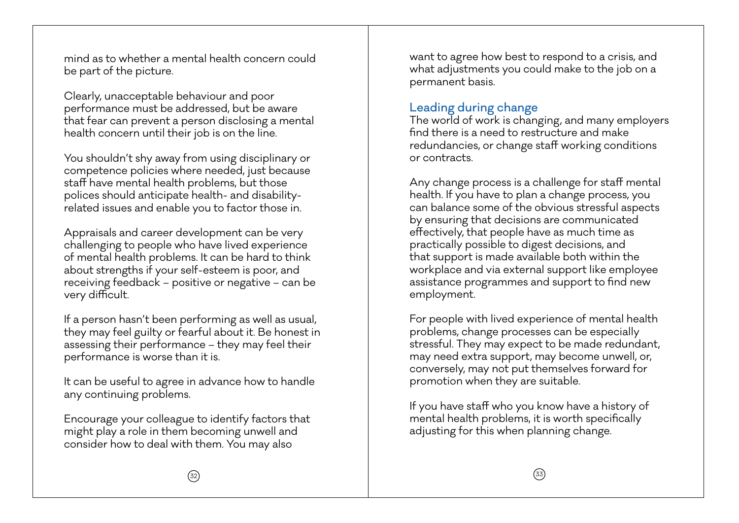mind as to whether a mental health concern could be part of the picture.

Clearly, unacceptable behaviour and poor performance must be addressed, but be aware that fear can prevent a person disclosing a mental health concern until their job is on the line.

You shouldn't shy away from using disciplinary or competence policies where needed, just because staff have mental health problems, but those polices should anticipate health- and disabilityrelated issues and enable you to factor those in.

Appraisals and career development can be very challenging to people who have lived experience of mental health problems. It can be hard to think about strengths if your self-esteem is poor, and receiving feedback – positive or negative – can be very difficult.

If a person hasn't been performing as well as usual, they may feel guilty or fearful about it. Be honest in assessing their performance – they may feel their performance is worse than it is.

It can be useful to agree in advance how to handle any continuing problems.

Encourage your colleague to identify factors that might play a role in them becoming unwell and consider how to deal with them. You may also

want to agree how best to respond to a crisis, and what adjustments you could make to the job on a permanent basis.

## Leading during change

The world of work is changing, and many employers find there is a need to restructure and make redundancies, or change staff working conditions or contracts.

Any change process is a challenge for staff mental health. If you have to plan a change process, you can balance some of the obvious stressful aspects by ensuring that decisions are communicated effectively, that people have as much time as practically possible to digest decisions, and that support is made available both within the workplace and via external support like employee assistance programmes and support to find new employment.

For people with lived experience of mental health problems, change processes can be especially stressful. They may expect to be made redundant, may need extra support, may become unwell, or, conversely, may not put themselves forward for promotion when they are suitable.

If you have staff who you know have a history of mental health problems, it is worth specifically adjusting for this when planning change.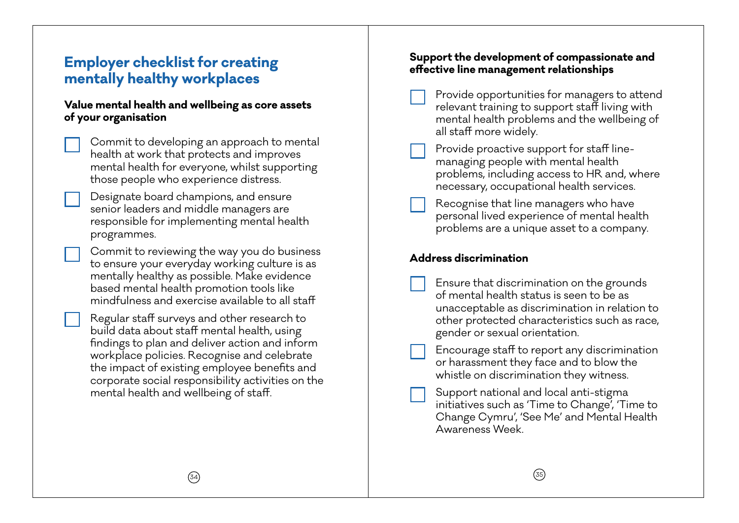# **Employer checklist for creating mentally healthy workplaces**

### **Value mental health and wellbeing as core assets of your organisation**

• Commit to developing an approach to mental health at work that protects and improves mental health for everyone, whilst supporting those people who experience distress.

• Designate board champions, and ensure senior leaders and middle managers are responsible for implementing mental health programmes.

• Commit to reviewing the way you do business to ensure your everyday working culture is as mentally healthy as possible. Make evidence based mental health promotion tools like mindfulness and exercise available to all staff

• Regular staff surveys and other research to build data about staff mental health, using findings to plan and deliver action and inform workplace policies. Recognise and celebrate the impact of existing employee benefits and corporate social responsibility activities on the mental health and wellbeing of staff.

### **Support the development of compassionate and effective line management relationships**

- Provide opportunities for managers to attend relevant training to support staff living with mental health problems and the wellbeing of all staff more widely.
- Provide proactive support for staff linemanaging people with mental health problems, including access to HR and, where necessary, occupational health services.
- Recognise that line managers who have personal lived experience of mental health problems are a unique asset to a company.

### **Address discrimination**

- Ensure that discrimination on the grounds of mental health status is seen to be as unacceptable as discrimination in relation to other protected characteristics such as race, gender or sexual orientation.
- Encourage staff to report any discrimination or harassment they face and to blow the whistle on discrimination they witness.
- Support national and local anti-stigma initiatives such as 'Time to Change', 'Time to Change Cymru', 'See Me' and Mental Health Awareness Week.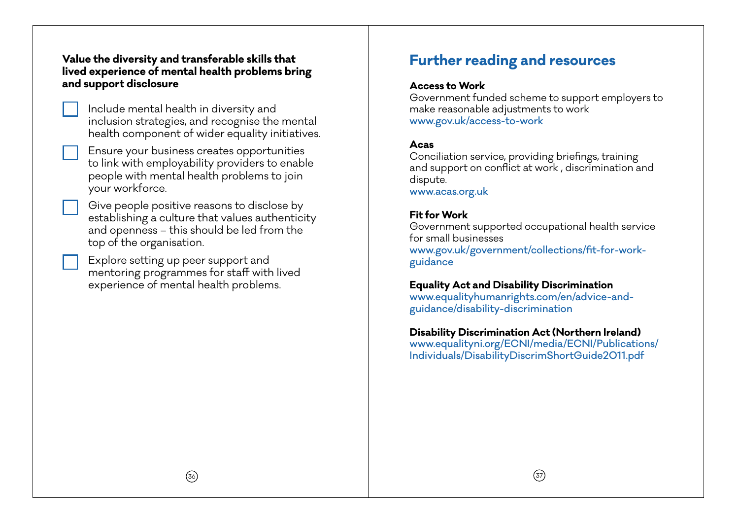### **Value the diversity and transferable skills that lived experience of mental health problems bring and support disclosure**

- Include mental health in diversity and inclusion strategies, and recognise the mental health component of wider equality initiatives.
- Ensure your business creates opportunities to link with employability providers to enable people with mental health problems to join your workforce.
- Give people positive reasons to disclose by establishing a culture that values authenticity and openness – this should be led from the top of the organisation.
- Explore setting up peer support and mentoring programmes for staff with lived experience of mental health problems.

# **Further reading and resources**

#### **Access to Work**

Government funded scheme to support employers to make reasonable adjustments to work www.gov.uk/access-to-work

#### **Acas**

Conciliation service, providing briefings, training and support on conflict at work , discrimination and dispute.

www.acas.org.uk

### **Fit for Work**

Government supported occupational health service for small businesses www.gov.uk/government/collections/fit-for-workguidance

### **Equality Act and Disability Discrimination**

www.equalityhumanrights.com/en/advice-andguidance/disability-discrimination

#### **Disability Discrimination Act (Northern Ireland)**

www.equalityni.org/ECNI/media/ECNI/Publications/ Individuals/DisabilityDiscrimShortGuide2011.pdf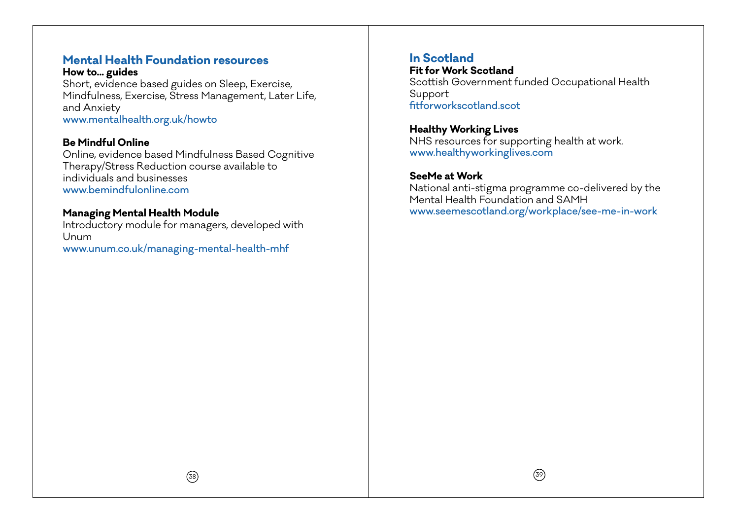# **Mental Health Foundation resources**

**How to... guides**  Short, evidence based guides on Sleep, Exercise, Mindfulness, Exercise, Stress Management, Later Life, and Anxiety www.mentalhealth.org.uk/howto

#### **Be Mindful Online**

Online, evidence based Mindfulness Based Cognitive Therapy/Stress Reduction course available to individuals and businesses www.bemindfulonline.com

#### **Managing Mental Health Module**

Introductory module for managers, developed with Unum www.unum.co.uk/managing-mental-health-mhf

## **In Scotland**

**Fit for Work Scotland** Scottish Government funded Occupational Health Support fitforworkscotland.scot

**Healthy Working Lives** NHS resources for supporting health at work. www.healthyworkinglives.com

### **SeeMe at Work**

National anti-stigma programme co-delivered by the Mental Health Foundation and SAMH www.seemescotland.org/workplace/see-me-in-work

 $(38)$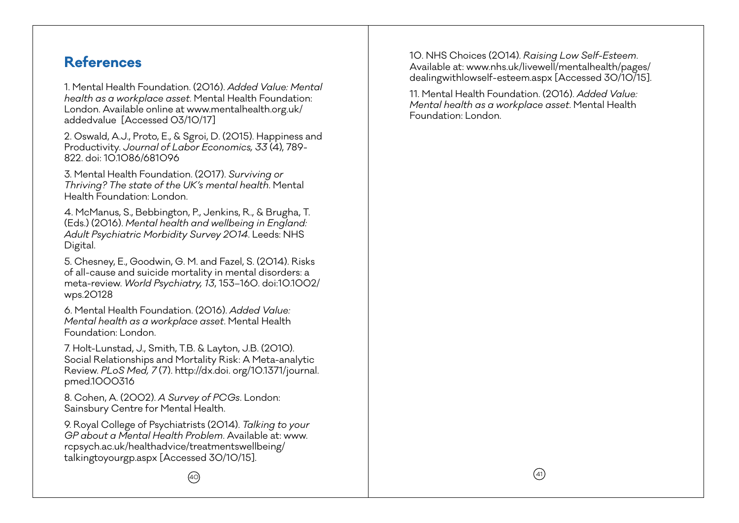# **References**

1. Mental Health Foundation. (2016). *Added Value: Mental health as a workplace asset*. Mental Health Foundation: London. Available online at www.mentalhealth.org.uk/ addedvalue [Accessed 03/10/17]

2. Oswald, A.J., Proto, E., & Sgroi, D. (2015). Happiness and Productivity. *Journal of Labor Economics, 33* (4), 789- 822. doi: 10.1086/681096

3. Mental Health Foundation. (2017). *Surviving or Thriving? The state of the UK's mental health*. Mental Health Foundation: London.

4. McManus, S., Bebbington, P., Jenkins, R., & Brugha, T. (Eds.) (2016). *Mental health and wellbeing in England: Adult Psychiatric Morbidity Survey 2014*. Leeds: NHS Digital.

5. Chesney, E., Goodwin, G. M. and Fazel, S. (2014). Risks of all-cause and suicide mortality in mental disorders: a meta-review. *World Psychiatry, 13*, 153–160. doi:10.1002/ wps.20128

6. Mental Health Foundation. (2016). *Added Value: Mental health as a workplace asset*. Mental Health Foundation: London.

7. Holt-Lunstad, J., Smith, T.B. & Layton, J.B. (2010). Social Relationships and Mortality Risk: A Meta-analytic Review. *PLoS Med, 7* (7). http://dx.doi. org/10.1371/journal. pmed.1000316

8. Cohen, A. (2002). *A Survey of PCGs*. London: Sainsbury Centre for Mental Health.

9. Royal College of Psychiatrists (2014). *Talking to your GP about a Mental Health Problem*. Available at: www. rcpsych.ac.uk/healthadvice/treatmentswellbeing/ talkingtoyourgp.aspx [Accessed 30/10/15].

10. NHS Choices (2014). *Raising Low Self-Esteem*. Available at: www.nhs.uk/livewell/mentalhealth/pages/ dealingwithlowself-esteem.aspx [Accessed 30/10/15].

11. Mental Health Foundation. (2016). *Added Value: Mental health as a workplace asset*. Mental Health Foundation: London.

 $\omega$ and the contract of  $\sim$  141  $\sim$  41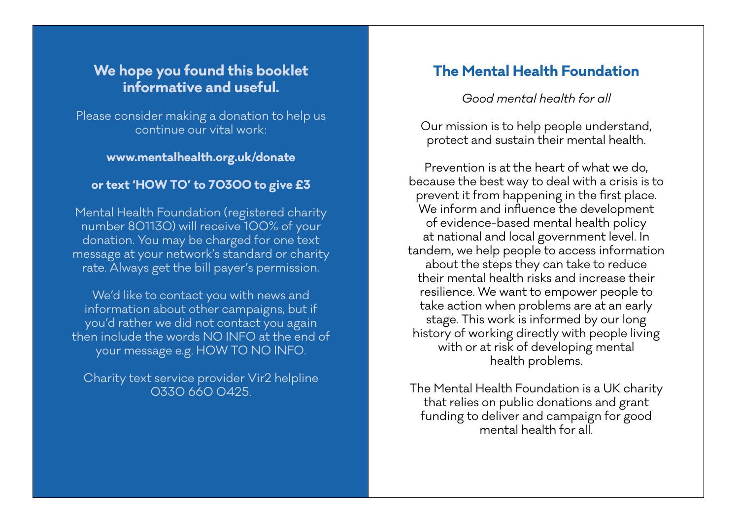# **We hope you found this booklet informative and useful.**

Please consider making a donation to help us continue our vital work:

### **www.mentalhealth.org.uk/donate**

### **or text 'HOW TO' to 70300 to give £3**

Mental Health Foundation (registered charity number 801130) will receive 100% of your donation. You may be charged for one text message at your network's standard or charity rate. Always get the bill payer's permission.

We'd like to contact you with news and information about other campaigns, but if you'd rather we did not contact you again then include the words NO INFO at the end of your message e.g. HOW TO NO INFO.

Charity text service provider Vir2 helpline 0330 660 0425.

42 August 2004 - Andrew Amerikaanse koning van die koning van die koning van die koning van die koning van die

# **The Mental Health Foundation**

*Good mental health for all* 

Our mission is to help people understand, protect and sustain their mental health.

Prevention is at the heart of what we do, because the best way to deal with a crisis is to prevent it from happening in the first place. We inform and influence the development of evidence-based mental health policy at national and local government level. In tandem, we help people to access information about the steps they can take to reduce their mental health risks and increase their resilience. We want to empower people to take action when problems are at an early stage. This work is informed by our long history of working directly with people living with or at risk of developing mental health problems.

The Mental Health Foundation is a UK charity that relies on public donations and grant funding to deliver and campaign for good mental health for all